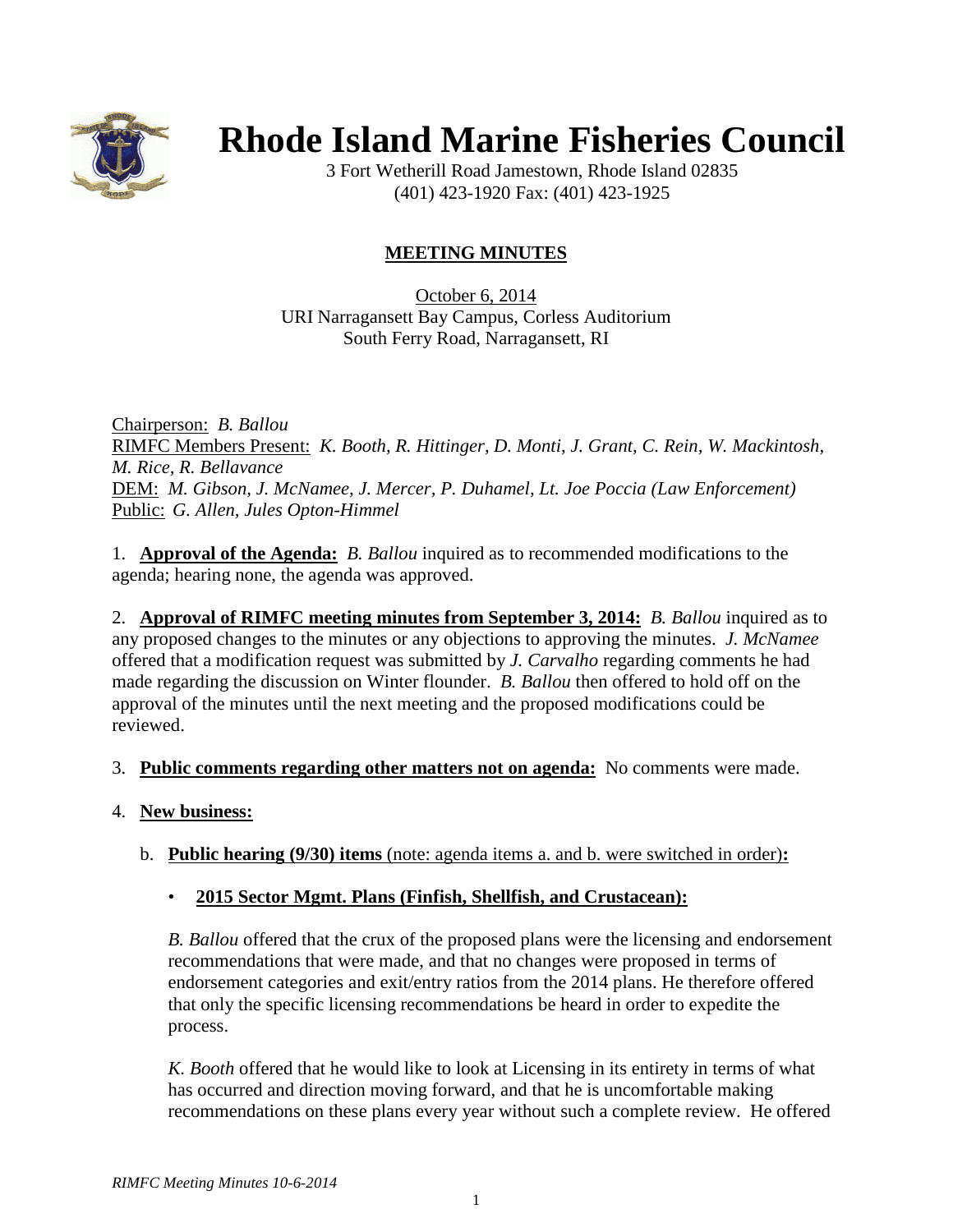

# **Rhode Island Marine Fisheries Council**

3 Fort Wetherill Road Jamestown, Rhode Island 02835 (401) 423-1920 Fax: (401) 423-1925

## **MEETING MINUTES**

October 6, 2014 URI Narragansett Bay Campus, Corless Auditorium South Ferry Road, Narragansett, RI

Chairperson: *B. Ballou* RIMFC Members Present: *K. Booth, R. Hittinger, D. Monti, J. Grant, C. Rein, W. Mackintosh, M. Rice, R. Bellavance* DEM: *M. Gibson, J. McNamee, J. Mercer, P. Duhamel, Lt. Joe Poccia (Law Enforcement)* Public: *G. Allen, Jules Opton-Himmel*

1. **Approval of the Agenda:** *B. Ballou* inquired as to recommended modifications to the agenda; hearing none, the agenda was approved.

2. **Approval of RIMFC meeting minutes from September 3, 2014:** *B. Ballou* inquired as to any proposed changes to the minutes or any objections to approving the minutes. *J. McNamee* offered that a modification request was submitted by *J. Carvalho* regarding comments he had made regarding the discussion on Winter flounder. *B. Ballou* then offered to hold off on the approval of the minutes until the next meeting and the proposed modifications could be reviewed.

## 3. **Public comments regarding other matters not on agenda:** No comments were made.

4. **New business:**

## b. **Public hearing (9/30) items** (note: agenda items a. and b. were switched in order)**:**

## • **2015 Sector Mgmt. Plans (Finfish, Shellfish, and Crustacean):**

*B. Ballou* offered that the crux of the proposed plans were the licensing and endorsement recommendations that were made, and that no changes were proposed in terms of endorsement categories and exit/entry ratios from the 2014 plans. He therefore offered that only the specific licensing recommendations be heard in order to expedite the process.

*K. Booth* offered that he would like to look at Licensing in its entirety in terms of what has occurred and direction moving forward, and that he is uncomfortable making recommendations on these plans every year without such a complete review. He offered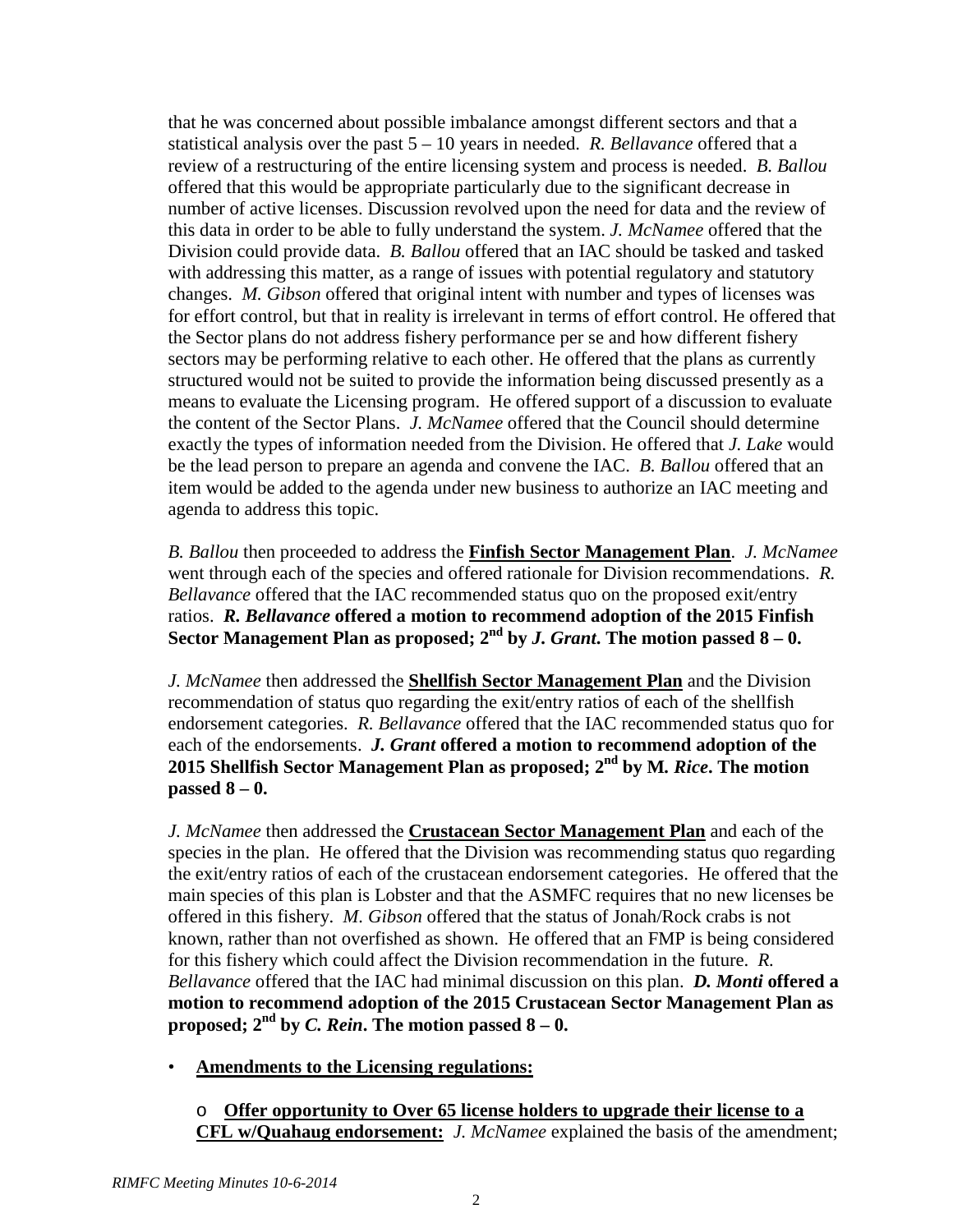that he was concerned about possible imbalance amongst different sectors and that a statistical analysis over the past 5 – 10 years in needed. *R. Bellavance* offered that a review of a restructuring of the entire licensing system and process is needed. *B. Ballou* offered that this would be appropriate particularly due to the significant decrease in number of active licenses. Discussion revolved upon the need for data and the review of this data in order to be able to fully understand the system. *J. McNamee* offered that the Division could provide data. *B. Ballou* offered that an IAC should be tasked and tasked with addressing this matter, as a range of issues with potential regulatory and statutory changes. *M. Gibson* offered that original intent with number and types of licenses was for effort control, but that in reality is irrelevant in terms of effort control. He offered that the Sector plans do not address fishery performance per se and how different fishery sectors may be performing relative to each other. He offered that the plans as currently structured would not be suited to provide the information being discussed presently as a means to evaluate the Licensing program. He offered support of a discussion to evaluate the content of the Sector Plans. *J. McNamee* offered that the Council should determine exactly the types of information needed from the Division. He offered that *J. Lake* would be the lead person to prepare an agenda and convene the IAC. *B. Ballou* offered that an item would be added to the agenda under new business to authorize an IAC meeting and agenda to address this topic.

*B. Ballou* then proceeded to address the **Finfish Sector Management Plan**. *J. McNamee* went through each of the species and offered rationale for Division recommendations. *R. Bellavance* offered that the IAC recommended status quo on the proposed exit/entry ratios. *R. Bellavance* **offered a motion to recommend adoption of the 2015 Finfish Sector Management Plan as proposed;**  $2^{nd}$  by *J. Grant***.** The motion passed  $8-0$ .

*J. McNamee* then addressed the **Shellfish Sector Management Plan** and the Division recommendation of status quo regarding the exit/entry ratios of each of the shellfish endorsement categories. *R. Bellavance* offered that the IAC recommended status quo for each of the endorsements. *J. Grant* **offered a motion to recommend adoption of the 2015 Shellfish Sector Management Plan as proposed; 2nd by M***. Rice***. The motion passed 8 – 0.**

*J. McNamee* then addressed the **Crustacean Sector Management Plan** and each of the species in the plan. He offered that the Division was recommending status quo regarding the exit/entry ratios of each of the crustacean endorsement categories. He offered that the main species of this plan is Lobster and that the ASMFC requires that no new licenses be offered in this fishery. *M. Gibson* offered that the status of Jonah/Rock crabs is not known, rather than not overfished as shown. He offered that an FMP is being considered for this fishery which could affect the Division recommendation in the future. *R. Bellavance* offered that the IAC had minimal discussion on this plan. *D. Monti* **offered a motion to recommend adoption of the 2015 Crustacean Sector Management Plan as proposed;**  $2^{nd}$  by *C. Rein*. The motion passed  $8-0$ .

• **Amendments to the Licensing regulations:**

o **Offer opportunity to Over 65 license holders to upgrade their license to a CFL w/Quahaug endorsement:** *J. McNamee* explained the basis of the amendment;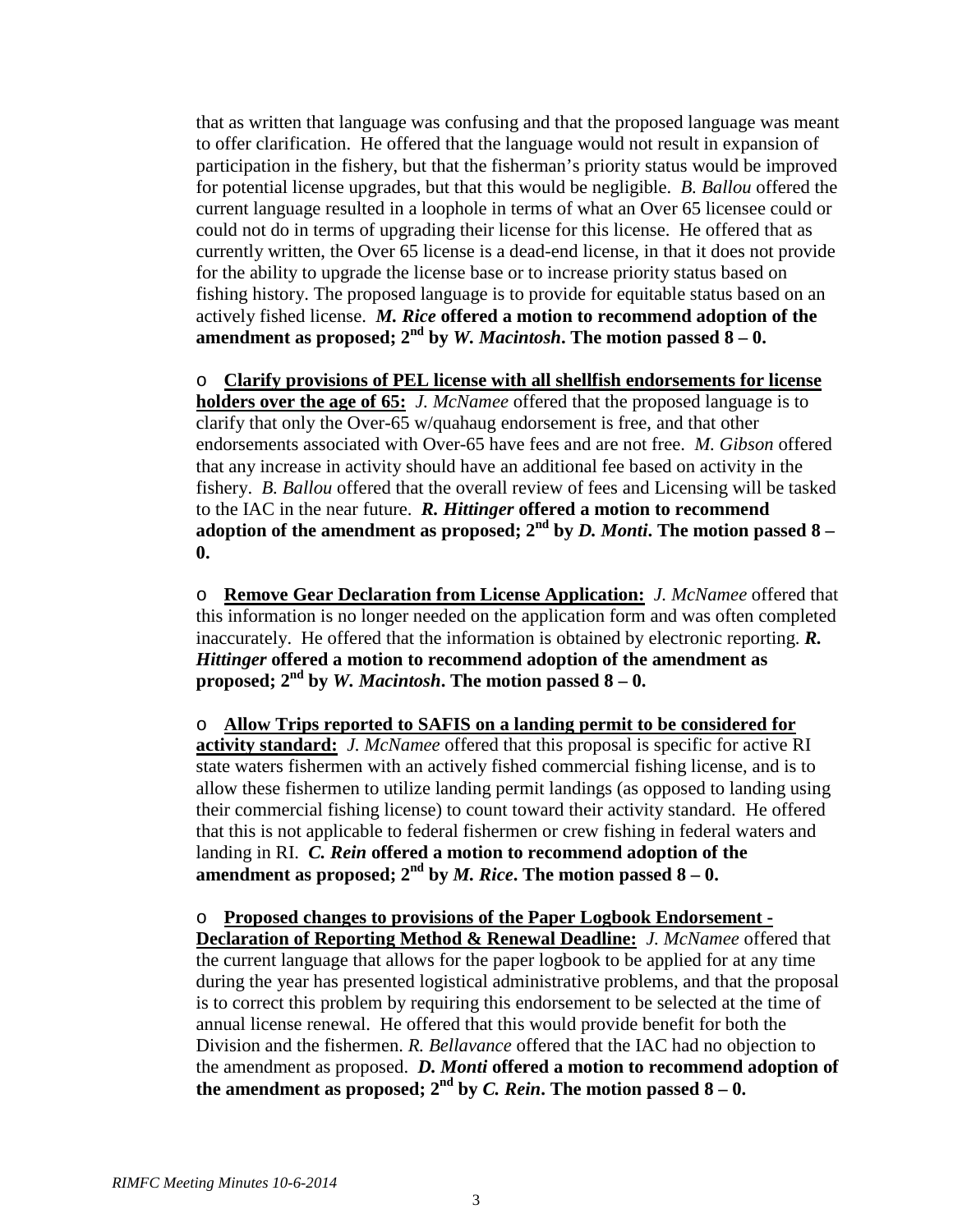that as written that language was confusing and that the proposed language was meant to offer clarification. He offered that the language would not result in expansion of participation in the fishery, but that the fisherman's priority status would be improved for potential license upgrades, but that this would be negligible. *B. Ballou* offered the current language resulted in a loophole in terms of what an Over 65 licensee could or could not do in terms of upgrading their license for this license. He offered that as currently written, the Over 65 license is a dead-end license, in that it does not provide for the ability to upgrade the license base or to increase priority status based on fishing history. The proposed language is to provide for equitable status based on an actively fished license. *M. Rice* **offered a motion to recommend adoption of the**  amendment as proposed;  $2^{nd}$  by *W. Macintosh***.** The motion passed  $\hat{8} - 0$ **.** 

o **Clarify provisions of PEL license with all shellfish endorsements for license holders over the age of 65:** *J. McNamee* offered that the proposed language is to clarify that only the Over-65 w/quahaug endorsement is free, and that other endorsements associated with Over-65 have fees and are not free. *M. Gibson* offered that any increase in activity should have an additional fee based on activity in the fishery. *B. Ballou* offered that the overall review of fees and Licensing will be tasked to the IAC in the near future. *R. Hittinger* **offered a motion to recommend adoption of the amendment as proposed;**  $2^{nd}$  **by** *D. Monti***<b>.** The motion passed  $8 -$ **0.**

o **Remove Gear Declaration from License Application:** *J. McNamee* offered that this information is no longer needed on the application form and was often completed inaccurately. He offered that the information is obtained by electronic reporting. *R. Hittinger* **offered a motion to recommend adoption of the amendment as proposed;**  $2^{nd}$  by *W. Macintosh*. The motion passed  $8-0$ .

o **Allow Trips reported to SAFIS on a landing permit to be considered for activity standard:** *J. McNamee* offered that this proposal is specific for active RI state waters fishermen with an actively fished commercial fishing license, and is to allow these fishermen to utilize landing permit landings (as opposed to landing using their commercial fishing license) to count toward their activity standard. He offered that this is not applicable to federal fishermen or crew fishing in federal waters and landing in RI. *C. Rein* **offered a motion to recommend adoption of the**  amendment as proposed;  $2^{nd}$  by *M. Rice*. The motion passed  $8-0$ .

o **Proposed changes to provisions of the Paper Logbook Endorsement - Declaration of Reporting Method & Renewal Deadline:** *J. McNamee* offered that the current language that allows for the paper logbook to be applied for at any time during the year has presented logistical administrative problems, and that the proposal is to correct this problem by requiring this endorsement to be selected at the time of annual license renewal. He offered that this would provide benefit for both the Division and the fishermen. *R. Bellavance* offered that the IAC had no objection to the amendment as proposed. *D. Monti* **offered a motion to recommend adoption of**  the amendment as proposed;  $2^{nd}$  by *C. Rein*. The motion passed  $8-0$ .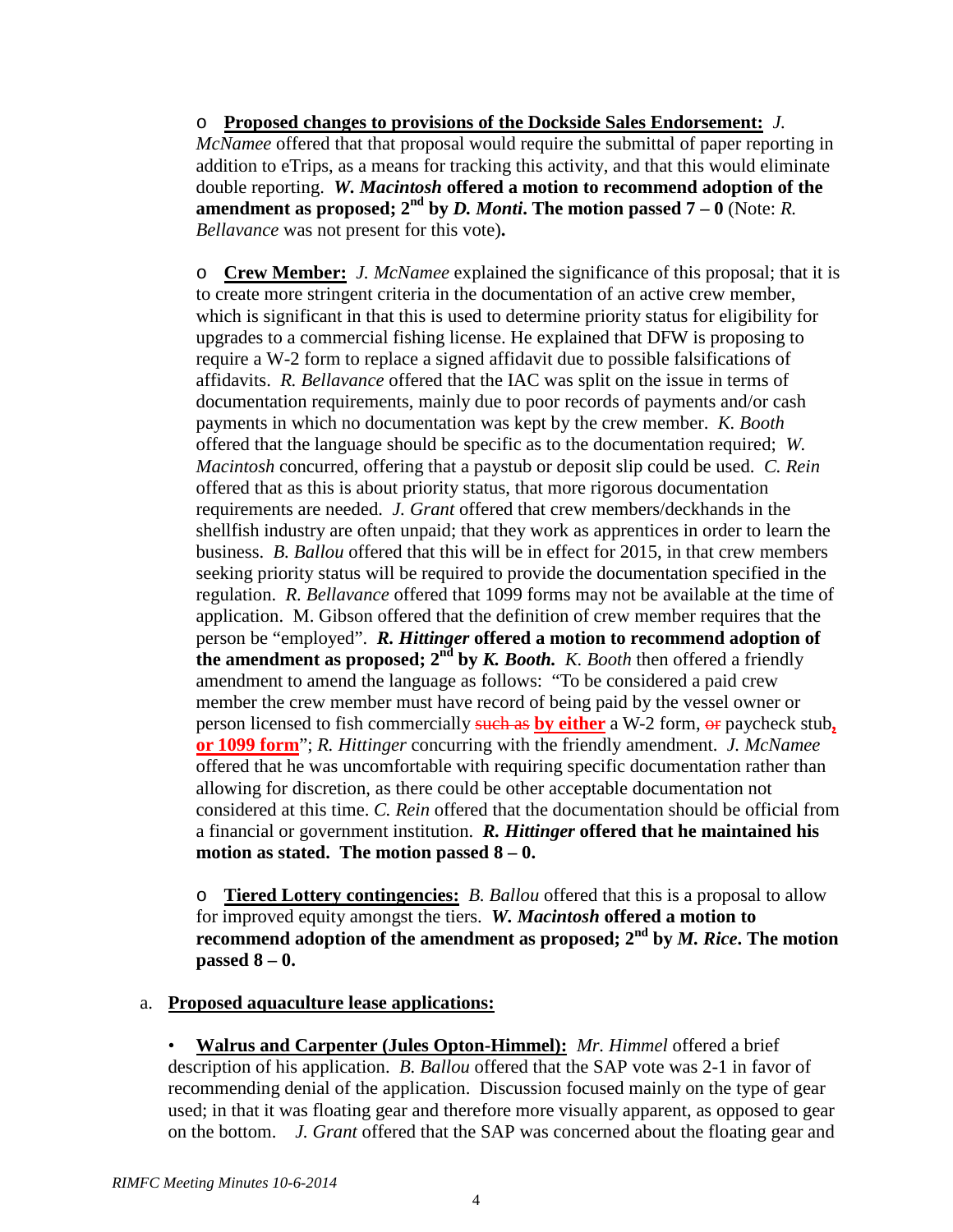#### o **Proposed changes to provisions of the Dockside Sales Endorsement:** *J.*

*McNamee* offered that that proposal would require the submittal of paper reporting in addition to eTrips, as a means for tracking this activity, and that this would eliminate double reporting. *W. Macintosh* **offered a motion to recommend adoption of the amendment** as proposed;  $2^{nd}$  by *D. Monti*. The motion passed  $7 - 0$  (Note: *R. Bellavance* was not present for this vote)**.**

o **Crew Member:** *J. McNamee* explained the significance of this proposal; that it is to create more stringent criteria in the documentation of an active crew member, which is significant in that this is used to determine priority status for eligibility for upgrades to a commercial fishing license. He explained that DFW is proposing to require a W-2 form to replace a signed affidavit due to possible falsifications of affidavits. *R. Bellavance* offered that the IAC was split on the issue in terms of documentation requirements, mainly due to poor records of payments and/or cash payments in which no documentation was kept by the crew member. *K. Booth* offered that the language should be specific as to the documentation required; *W. Macintosh* concurred, offering that a paystub or deposit slip could be used. *C. Rein* offered that as this is about priority status, that more rigorous documentation requirements are needed. *J. Grant* offered that crew members/deckhands in the shellfish industry are often unpaid; that they work as apprentices in order to learn the business. *B. Ballou* offered that this will be in effect for 2015, in that crew members seeking priority status will be required to provide the documentation specified in the regulation. *R. Bellavance* offered that 1099 forms may not be available at the time of application. M. Gibson offered that the definition of crew member requires that the person be "employed". *R. Hittinger* **offered a motion to recommend adoption of the amendment as proposed;**  $2^{nd}$  **by** *K. Booth. K. Booth* **then offered a friendly** amendment to amend the language as follows: "To be considered a paid crew member the crew member must have record of being paid by the vessel owner or person licensed to fish commercially such as by either a W-2 form, or paycheck stub, **or 1099 form**"; *R. Hittinger* concurring with the friendly amendment. *J. McNamee* offered that he was uncomfortable with requiring specific documentation rather than allowing for discretion, as there could be other acceptable documentation not considered at this time. *C. Rein* offered that the documentation should be official from a financial or government institution. *R. Hittinger* **offered that he maintained his motion as stated. The motion passed 8 – 0.**

o **Tiered Lottery contingencies:** *B. Ballou* offered that this is a proposal to allow for improved equity amongst the tiers. *W. Macintosh* **offered a motion to recommend adoption of the amendment as proposed; 2nd by** *M. Rice***. The motion passed 8 – 0.**

#### a. **Proposed aquaculture lease applications:**

• **Walrus and Carpenter (Jules Opton-Himmel):** *Mr. Himmel* offered a brief description of his application. *B. Ballou* offered that the SAP vote was 2-1 in favor of recommending denial of the application. Discussion focused mainly on the type of gear used; in that it was floating gear and therefore more visually apparent, as opposed to gear on the bottom. *J. Grant* offered that the SAP was concerned about the floating gear and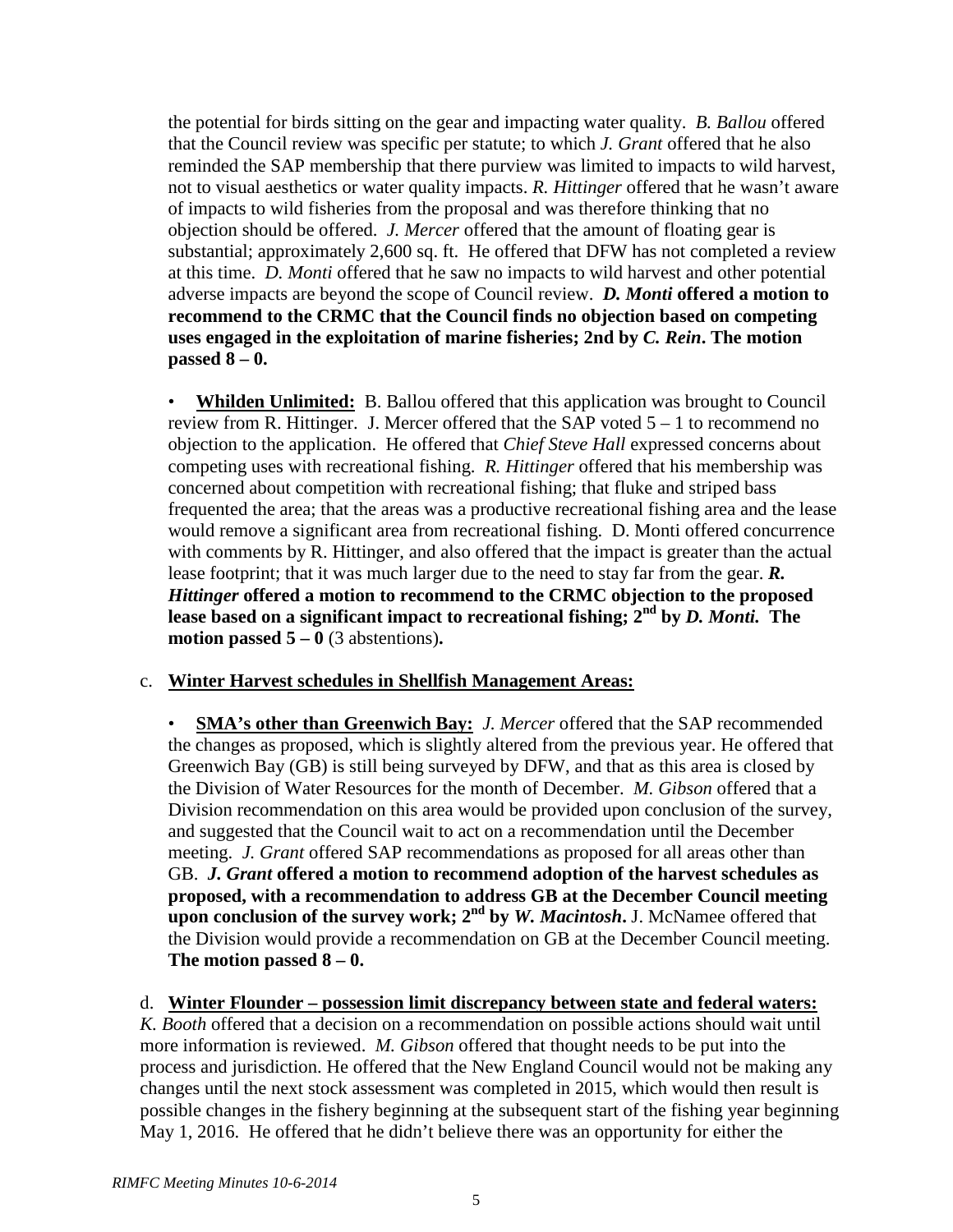the potential for birds sitting on the gear and impacting water quality. *B. Ballou* offered that the Council review was specific per statute; to which *J. Grant* offered that he also reminded the SAP membership that there purview was limited to impacts to wild harvest, not to visual aesthetics or water quality impacts. *R. Hittinger* offered that he wasn't aware of impacts to wild fisheries from the proposal and was therefore thinking that no objection should be offered. *J. Mercer* offered that the amount of floating gear is substantial; approximately 2,600 sq. ft. He offered that DFW has not completed a review at this time. *D. Monti* offered that he saw no impacts to wild harvest and other potential adverse impacts are beyond the scope of Council review. *D. Monti* **offered a motion to recommend to the CRMC that the Council finds no objection based on competing uses engaged in the exploitation of marine fisheries; 2nd by** *C. Rein***. The motion passed 8 – 0.**

• **Whilden Unlimited:** B. Ballou offered that this application was brought to Council review from R. Hittinger. J. Mercer offered that the SAP voted 5 – 1 to recommend no objection to the application. He offered that *Chief Steve Hall* expressed concerns about competing uses with recreational fishing. *R. Hittinger* offered that his membership was concerned about competition with recreational fishing; that fluke and striped bass frequented the area; that the areas was a productive recreational fishing area and the lease would remove a significant area from recreational fishing. D. Monti offered concurrence with comments by R. Hittinger, and also offered that the impact is greater than the actual lease footprint; that it was much larger due to the need to stay far from the gear. *R. Hittinger* **offered a motion to recommend to the CRMC objection to the proposed lease based on a significant impact to recreational fishing; 2nd by** *D. Monti.* **The motion passed 5 – 0** (3 abstentions)**.**

#### c. **Winter Harvest schedules in Shellfish Management Areas:**

• **SMA's other than Greenwich Bay:** *J. Mercer* offered that the SAP recommended the changes as proposed, which is slightly altered from the previous year. He offered that Greenwich Bay (GB) is still being surveyed by DFW, and that as this area is closed by the Division of Water Resources for the month of December. *M. Gibson* offered that a Division recommendation on this area would be provided upon conclusion of the survey, and suggested that the Council wait to act on a recommendation until the December meeting. *J. Grant* offered SAP recommendations as proposed for all areas other than GB. *J. Grant* **offered a motion to recommend adoption of the harvest schedules as proposed, with a recommendation to address GB at the December Council meeting upon conclusion of the survey work; 2nd by** *W. Macintosh***.** J. McNamee offered that the Division would provide a recommendation on GB at the December Council meeting. **The motion passed 8 – 0.**

#### d. **Winter Flounder – possession limit discrepancy between state and federal waters:**

*K. Booth* offered that a decision on a recommendation on possible actions should wait until more information is reviewed. *M. Gibson* offered that thought needs to be put into the process and jurisdiction. He offered that the New England Council would not be making any changes until the next stock assessment was completed in 2015, which would then result is possible changes in the fishery beginning at the subsequent start of the fishing year beginning May 1, 2016. He offered that he didn't believe there was an opportunity for either the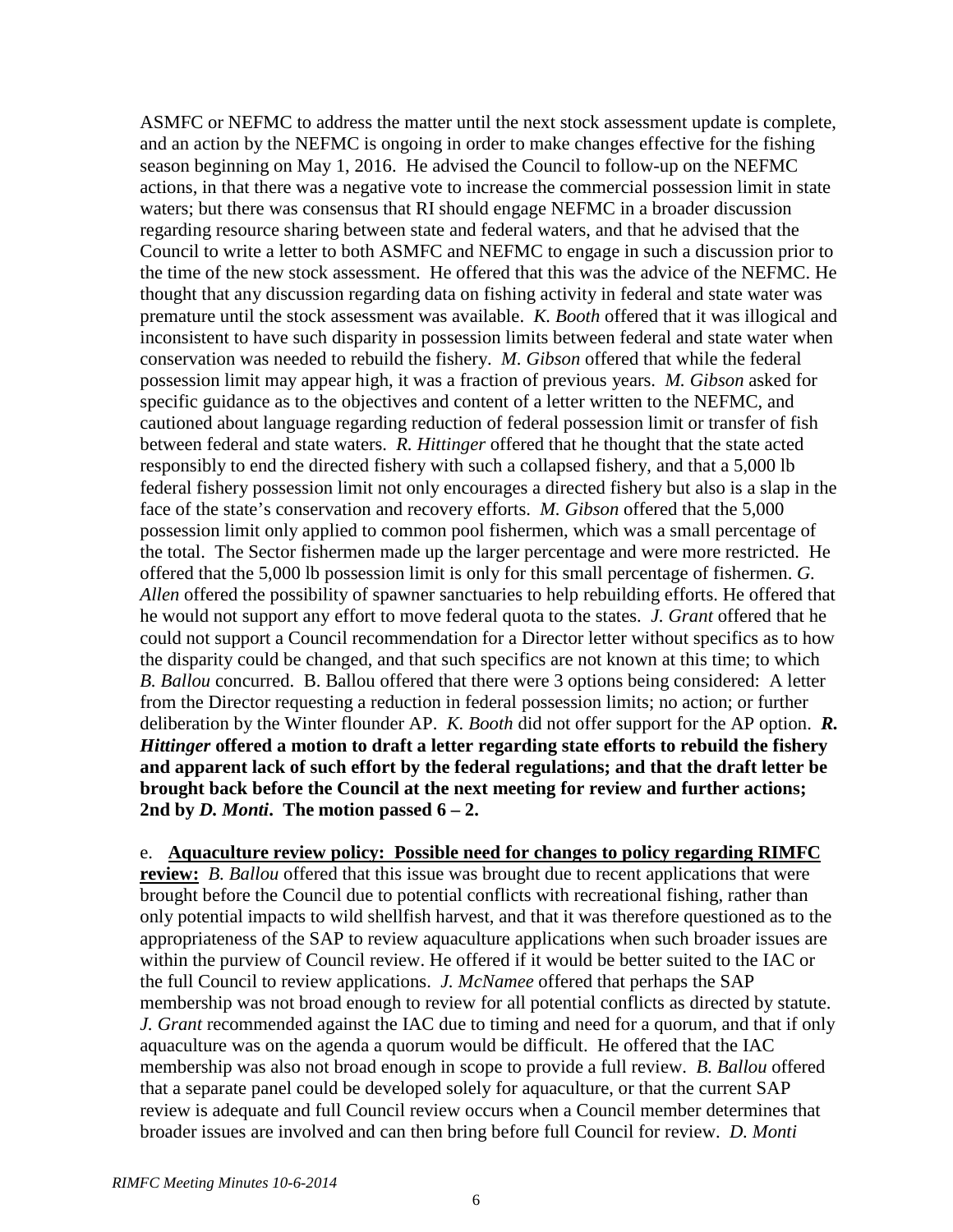ASMFC or NEFMC to address the matter until the next stock assessment update is complete, and an action by the NEFMC is ongoing in order to make changes effective for the fishing season beginning on May 1, 2016. He advised the Council to follow-up on the NEFMC actions, in that there was a negative vote to increase the commercial possession limit in state waters; but there was consensus that RI should engage NEFMC in a broader discussion regarding resource sharing between state and federal waters, and that he advised that the Council to write a letter to both ASMFC and NEFMC to engage in such a discussion prior to the time of the new stock assessment. He offered that this was the advice of the NEFMC. He thought that any discussion regarding data on fishing activity in federal and state water was premature until the stock assessment was available. *K. Booth* offered that it was illogical and inconsistent to have such disparity in possession limits between federal and state water when conservation was needed to rebuild the fishery. *M. Gibson* offered that while the federal possession limit may appear high, it was a fraction of previous years. *M. Gibson* asked for specific guidance as to the objectives and content of a letter written to the NEFMC, and cautioned about language regarding reduction of federal possession limit or transfer of fish between federal and state waters. *R. Hittinger* offered that he thought that the state acted responsibly to end the directed fishery with such a collapsed fishery, and that a 5,000 lb federal fishery possession limit not only encourages a directed fishery but also is a slap in the face of the state's conservation and recovery efforts. *M. Gibson* offered that the 5,000 possession limit only applied to common pool fishermen, which was a small percentage of the total. The Sector fishermen made up the larger percentage and were more restricted. He offered that the 5,000 lb possession limit is only for this small percentage of fishermen. *G. Allen* offered the possibility of spawner sanctuaries to help rebuilding efforts. He offered that he would not support any effort to move federal quota to the states. *J. Grant* offered that he could not support a Council recommendation for a Director letter without specifics as to how the disparity could be changed, and that such specifics are not known at this time; to which *B. Ballou* concurred. B. Ballou offered that there were 3 options being considered: A letter from the Director requesting a reduction in federal possession limits; no action; or further deliberation by the Winter flounder AP. *K. Booth* did not offer support for the AP option. *R. Hittinger* **offered a motion to draft a letter regarding state efforts to rebuild the fishery and apparent lack of such effort by the federal regulations; and that the draft letter be brought back before the Council at the next meeting for review and further actions;**  2nd by *D. Monti*. The motion passed  $6 - 2$ .

#### e. **Aquaculture review policy: Possible need for changes to policy regarding RIMFC**

**review:** *B. Ballou* offered that this issue was brought due to recent applications that were brought before the Council due to potential conflicts with recreational fishing, rather than only potential impacts to wild shellfish harvest, and that it was therefore questioned as to the appropriateness of the SAP to review aquaculture applications when such broader issues are within the purview of Council review. He offered if it would be better suited to the IAC or the full Council to review applications. *J. McNamee* offered that perhaps the SAP membership was not broad enough to review for all potential conflicts as directed by statute. *J. Grant* recommended against the IAC due to timing and need for a quorum, and that if only aquaculture was on the agenda a quorum would be difficult. He offered that the IAC membership was also not broad enough in scope to provide a full review. *B. Ballou* offered that a separate panel could be developed solely for aquaculture, or that the current SAP review is adequate and full Council review occurs when a Council member determines that broader issues are involved and can then bring before full Council for review. *D. Monti*